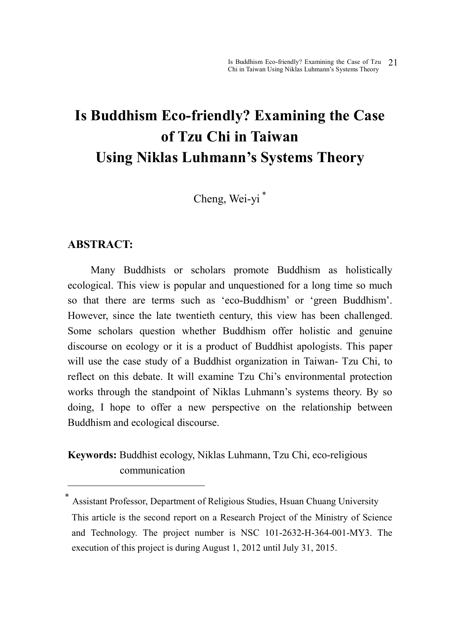# **Is Buddhism Eco-friendly? Examining the Case of Tzu Chi in Taiwan Using Niklas Luhmann's Systems Theory**

Cheng, Wei-yi <sup>∗</sup>

#### **ABSTRACT:**

 $\overline{a}$ 

Many Buddhists or scholars promote Buddhism as holistically ecological. This view is popular and unquestioned for a long time so much so that there are terms such as 'eco-Buddhism' or 'green Buddhism'. However, since the late twentieth century, this view has been challenged. Some scholars question whether Buddhism offer holistic and genuine discourse on ecology or it is a product of Buddhist apologists. This paper will use the case study of a Buddhist organization in Taiwan- Tzu Chi, to reflect on this debate. It will examine Tzu Chi's environmental protection works through the standpoint of Niklas Luhmann's systems theory. By so doing, I hope to offer a new perspective on the relationship between Buddhism and ecological discourse.

**Keywords:** Buddhist ecology, Niklas Luhmann, Tzu Chi, eco-religious communication

<sup>∗</sup> Assistant Professor, Department of Religious Studies, Hsuan Chuang University This article is the second report on a Research Project of the Ministry of Science and Technology. The project number is NSC 101-2632-H-364-001-MY3. The execution of this project is during August 1, 2012 until July 31, 2015.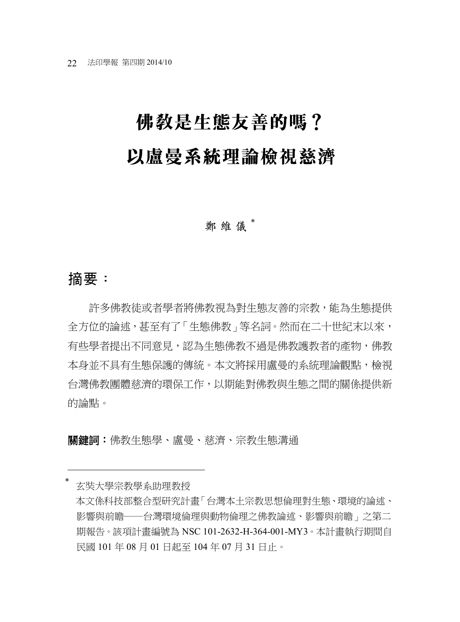# 佛教是生態友善的嗎? 以盧曼系統理論檢視慈濟

#### **鄭維儀**

# 摘要:

 $\overline{a}$ 

許多佛教徒或者學者將佛教視為對生態友善的宗教,能為生態提供 全方位的論述,甚至有了「生態佛教」等名詞。然而在二十世紀末以來, 有些學者提出不同意見,認為生態佛教不過是佛教護教者的產物,佛教 本身並不具有生態保護的傳統。本文將採用盧曼的系統理論觀點,檢視 台灣佛教團體慈濟的環保工作,以期能對佛教與生態之間的關係提供新 的論點。

關鍵詞:佛教生態學、盧曼、慈濟、宗教生態溝通

<sup>∗</sup> 玄奘大學宗教學系助理教授 本文係科技部整合型研究計畫「台灣本土宗教思想倫理對生態、環境的論述、 影響與前瞻──台灣環境倫理與動物倫理之佛教論述、影響與前瞻」之第二 期報告。該項計畫編號為 NSC 101-2632-H-364-001-MY3。本計畫執行期間自 民國 101 年 08 月 01 日起至 104 年 07 月 31 日止。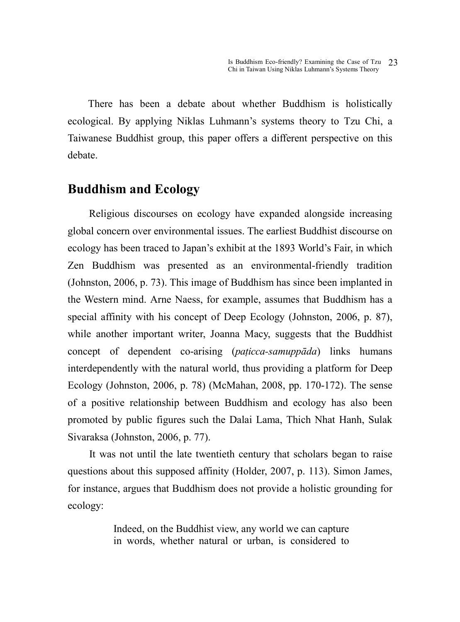There has been a debate about whether Buddhism is holistically ecological. By applying Niklas Luhmann's systems theory to Tzu Chi, a Taiwanese Buddhist group, this paper offers a different perspective on this debate.

#### **Buddhism and Ecology**

Religious discourses on ecology have expanded alongside increasing global concern over environmental issues. The earliest Buddhist discourse on ecology has been traced to Japan's exhibit at the 1893 World's Fair, in which Zen Buddhism was presented as an environmental-friendly tradition (Johnston, 2006, p. 73). This image of Buddhism has since been implanted in the Western mind. Arne Naess, for example, assumes that Buddhism has a special affinity with his concept of Deep Ecology (Johnston, 2006, p. 87), while another important writer, Joanna Macy, suggests that the Buddhist concept of dependent co-arising (*paṭicca-samuppāda*) links humans interdependently with the natural world, thus providing a platform for Deep Ecology (Johnston, 2006, p. 78) (McMahan, 2008, pp. 170-172). The sense of a positive relationship between Buddhism and ecology has also been promoted by public figures such the Dalai Lama, Thich Nhat Hanh, Sulak Sivaraksa (Johnston, 2006, p. 77).

 It was not until the late twentieth century that scholars began to raise questions about this supposed affinity (Holder, 2007, p. 113). Simon James, for instance, argues that Buddhism does not provide a holistic grounding for ecology:

> Indeed, on the Buddhist view, any world we can capture in words, whether natural or urban, is considered to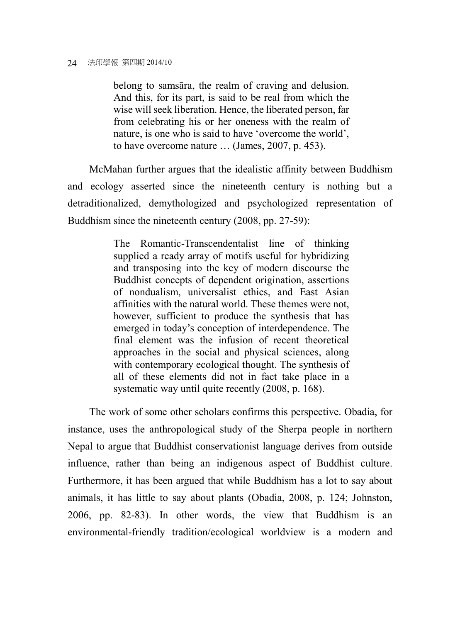belong to samsāra, the realm of craving and delusion. And this, for its part, is said to be real from which the wise will seek liberation. Hence, the liberated person, far from celebrating his or her oneness with the realm of nature, is one who is said to have 'overcome the world', to have overcome nature … (James, 2007, p. 453).

 McMahan further argues that the idealistic affinity between Buddhism and ecology asserted since the nineteenth century is nothing but a detraditionalized, demythologized and psychologized representation of Buddhism since the nineteenth century (2008, pp. 27-59):

> The Romantic-Transcendentalist line of thinking supplied a ready array of motifs useful for hybridizing and transposing into the key of modern discourse the Buddhist concepts of dependent origination, assertions of nondualism, universalist ethics, and East Asian affinities with the natural world. These themes were not, however, sufficient to produce the synthesis that has emerged in today's conception of interdependence. The final element was the infusion of recent theoretical approaches in the social and physical sciences, along with contemporary ecological thought. The synthesis of all of these elements did not in fact take place in a systematic way until quite recently (2008, p. 168).

 The work of some other scholars confirms this perspective. Obadia, for instance, uses the anthropological study of the Sherpa people in northern Nepal to argue that Buddhist conservationist language derives from outside influence, rather than being an indigenous aspect of Buddhist culture. Furthermore, it has been argued that while Buddhism has a lot to say about animals, it has little to say about plants (Obadia, 2008, p. 124; Johnston, 2006, pp. 82-83). In other words, the view that Buddhism is an environmental-friendly tradition/ecological worldview is a modern and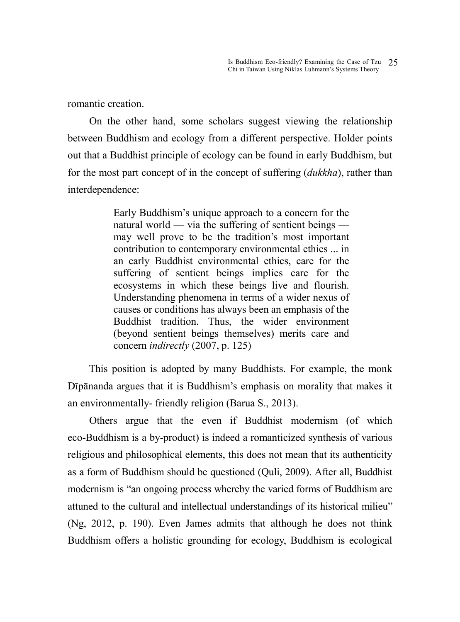romantic creation.

 On the other hand, some scholars suggest viewing the relationship between Buddhism and ecology from a different perspective. Holder points out that a Buddhist principle of ecology can be found in early Buddhism, but for the most part concept of in the concept of suffering (*dukkha*), rather than interdependence:

> Early Buddhism's unique approach to a concern for the natural world — via the suffering of sentient beings may well prove to be the tradition's most important contribution to contemporary environmental ethics ... in an early Buddhist environmental ethics, care for the suffering of sentient beings implies care for the ecosystems in which these beings live and flourish. Understanding phenomena in terms of a wider nexus of causes or conditions has always been an emphasis of the Buddhist tradition. Thus, the wider environment (beyond sentient beings themselves) merits care and concern *indirectly* (2007, p. 125)

This position is adopted by many Buddhists. For example, the monk Dīpānanda argues that it is Buddhism's emphasis on morality that makes it an environmentally- friendly religion (Barua S., 2013).

 Others argue that the even if Buddhist modernism (of which eco-Buddhism is a by-product) is indeed a romanticized synthesis of various religious and philosophical elements, this does not mean that its authenticity as a form of Buddhism should be questioned (Quli, 2009). After all, Buddhist modernism is "an ongoing process whereby the varied forms of Buddhism are attuned to the cultural and intellectual understandings of its historical milieu" (Ng, 2012, p. 190). Even James admits that although he does not think Buddhism offers a holistic grounding for ecology, Buddhism is ecological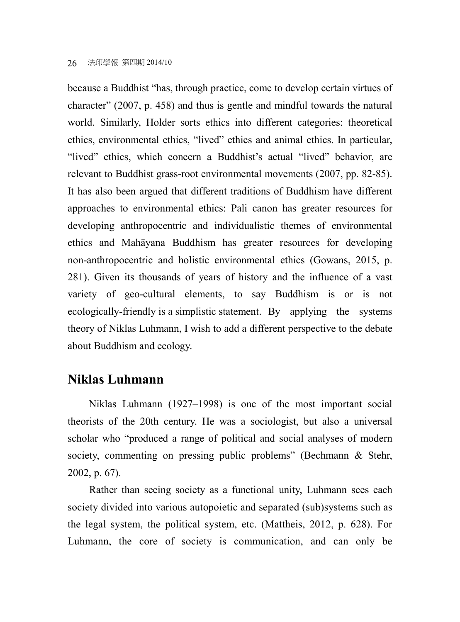because a Buddhist "has, through practice, come to develop certain virtues of character" (2007, p. 458) and thus is gentle and mindful towards the natural world. Similarly, Holder sorts ethics into different categories: theoretical ethics, environmental ethics, "lived" ethics and animal ethics. In particular, "lived" ethics, which concern a Buddhist's actual "lived" behavior, are relevant to Buddhist grass-root environmental movements (2007, pp. 82-85). It has also been argued that different traditions of Buddhism have different approaches to environmental ethics: Pali canon has greater resources for developing anthropocentric and individualistic themes of environmental ethics and Mahāyana Buddhism has greater resources for developing non-anthropocentric and holistic environmental ethics (Gowans, 2015, p. 281). Given its thousands of years of history and the influence of a vast variety of geo-cultural elements, to say Buddhism is or is not ecologically-friendly is a simplistic statement. By applying the systems theory of Niklas Luhmann, I wish to add a different perspective to the debate about Buddhism and ecology.

### **Niklas Luhmann**

Niklas Luhmann (1927–1998) is one of the most important social theorists of the 20th century. He was a sociologist, but also a universal scholar who "produced a range of political and social analyses of modern society, commenting on pressing public problems" (Bechmann & Stehr, 2002, p. 67).

 Rather than seeing society as a functional unity, Luhmann sees each society divided into various autopoietic and separated (sub)systems such as the legal system, the political system, etc. (Mattheis, 2012, p. 628). For Luhmann, the core of society is communication, and can only be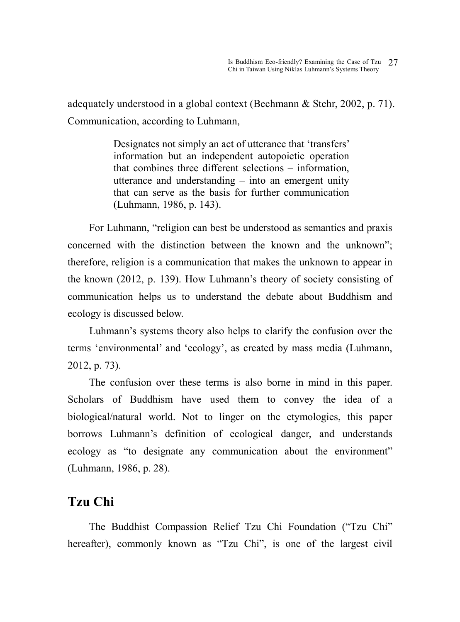adequately understood in a global context (Bechmann & Stehr, 2002, p. 71). Communication, according to Luhmann,

> Designates not simply an act of utterance that 'transfers' information but an independent autopoietic operation that combines three different selections – information, utterance and understanding – into an emergent unity that can serve as the basis for further communication (Luhmann, 1986, p. 143).

For Luhmann, "religion can best be understood as semantics and praxis concerned with the distinction between the known and the unknown"; therefore, religion is a communication that makes the unknown to appear in the known (2012, p. 139). How Luhmann's theory of society consisting of communication helps us to understand the debate about Buddhism and ecology is discussed below.

 Luhmann's systems theory also helps to clarify the confusion over the terms 'environmental' and 'ecology', as created by mass media (Luhmann, 2012, p. 73).

The confusion over these terms is also borne in mind in this paper. Scholars of Buddhism have used them to convey the idea of a biological/natural world. Not to linger on the etymologies, this paper borrows Luhmann's definition of ecological danger, and understands ecology as "to designate any communication about the environment" (Luhmann, 1986, p. 28).

# **Tzu Chi**

The Buddhist Compassion Relief Tzu Chi Foundation ("Tzu Chi" hereafter), commonly known as "Tzu Chi", is one of the largest civil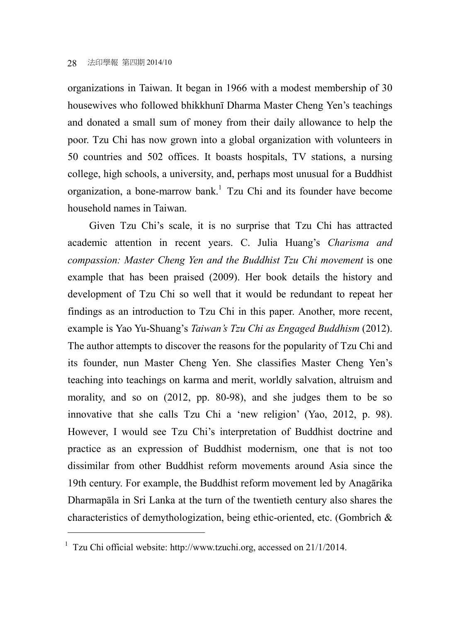organizations in Taiwan. It began in 1966 with a modest membership of 30 housewives who followed bhikkhunī Dharma Master Cheng Yen's teachings and donated a small sum of money from their daily allowance to help the poor. Tzu Chi has now grown into a global organization with volunteers in 50 countries and 502 offices. It boasts hospitals, TV stations, a nursing college, high schools, a university, and, perhaps most unusual for a Buddhist organization, a bone-marrow bank.<sup>1</sup> Tzu Chi and its founder have become household names in Taiwan.

 Given Tzu Chi's scale, it is no surprise that Tzu Chi has attracted academic attention in recent years. C. Julia Huang's *Charisma and compassion: Master Cheng Yen and the Buddhist Tzu Chi movement* is one example that has been praised (2009). Her book details the history and development of Tzu Chi so well that it would be redundant to repeat her findings as an introduction to Tzu Chi in this paper. Another, more recent, example is Yao Yu-Shuang's *Taiwan's Tzu Chi as Engaged Buddhism* (2012). The author attempts to discover the reasons for the popularity of Tzu Chi and its founder, nun Master Cheng Yen. She classifies Master Cheng Yen's teaching into teachings on karma and merit, worldly salvation, altruism and morality, and so on (2012, pp. 80-98), and she judges them to be so innovative that she calls Tzu Chi a 'new religion' (Yao, 2012, p. 98). However, I would see Tzu Chi's interpretation of Buddhist doctrine and practice as an expression of Buddhist modernism, one that is not too dissimilar from other Buddhist reform movements around Asia since the 19th century. For example, the Buddhist reform movement led by Anagārika Dharmapāla in Sri Lanka at the turn of the twentieth century also shares the characteristics of demythologization, being ethic-oriented, etc. (Gombrich &

<sup>&</sup>lt;sup>1</sup> Tzu Chi official website: http://www.tzuchi.org, accessed on 21/1/2014.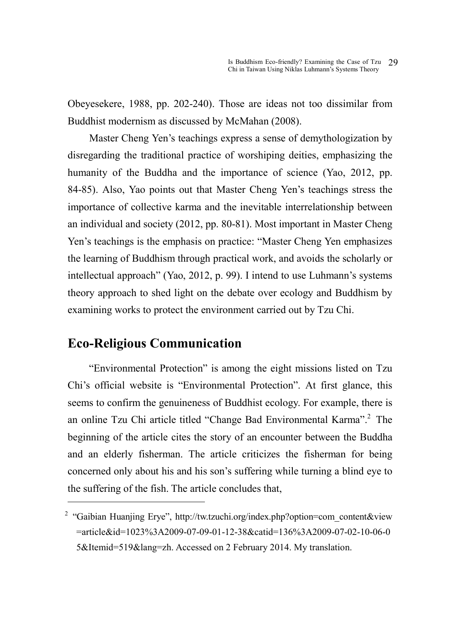Obeyesekere, 1988, pp. 202-240). Those are ideas not too dissimilar from Buddhist modernism as discussed by McMahan (2008).

 Master Cheng Yen's teachings express a sense of demythologization by disregarding the traditional practice of worshiping deities, emphasizing the humanity of the Buddha and the importance of science (Yao, 2012, pp. 84-85). Also, Yao points out that Master Cheng Yen's teachings stress the importance of collective karma and the inevitable interrelationship between an individual and society (2012, pp. 80-81). Most important in Master Cheng Yen's teachings is the emphasis on practice: "Master Cheng Yen emphasizes the learning of Buddhism through practical work, and avoids the scholarly or intellectual approach" (Yao, 2012, p. 99). I intend to use Luhmann's systems theory approach to shed light on the debate over ecology and Buddhism by examining works to protect the environment carried out by Tzu Chi.

# **Eco-Religious Communication**

 $\overline{a}$ 

"Environmental Protection" is among the eight missions listed on Tzu Chi's official website is "Environmental Protection". At first glance, this seems to confirm the genuineness of Buddhist ecology. For example, there is an online Tzu Chi article titled "Change Bad Environmental Karma".<sup>2</sup> The beginning of the article cites the story of an encounter between the Buddha and an elderly fisherman. The article criticizes the fisherman for being concerned only about his and his son's suffering while turning a blind eye to the suffering of the fish. The article concludes that,

<sup>&</sup>lt;sup>2</sup> "Gaibian Huanjing Erye", http://tw.tzuchi.org/index.php?option=com\_content&view =article&id=1023%3A2009-07-09-01-12-38&catid=136%3A2009-07-02-10-06-0 5&Itemid=519&lang=zh. Accessed on 2 February 2014. My translation.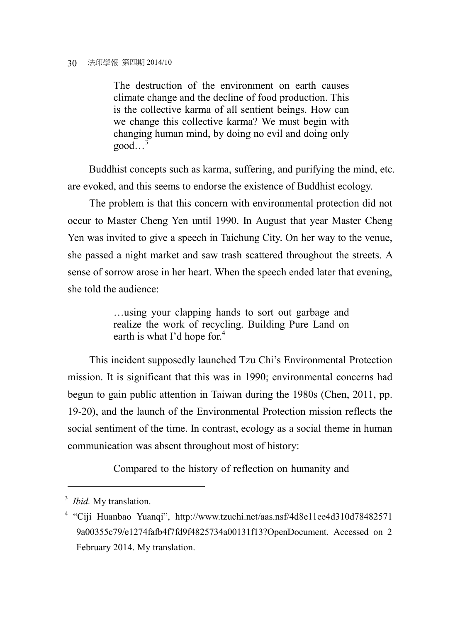The destruction of the environment on earth causes climate change and the decline of food production. This is the collective karma of all sentient beings. How can we change this collective karma? We must begin with changing human mind, by doing no evil and doing only  $good...$ <sup>3</sup>

Buddhist concepts such as karma, suffering, and purifying the mind, etc. are evoked, and this seems to endorse the existence of Buddhist ecology.

 The problem is that this concern with environmental protection did not occur to Master Cheng Yen until 1990. In August that year Master Cheng Yen was invited to give a speech in Taichung City. On her way to the venue, she passed a night market and saw trash scattered throughout the streets. A sense of sorrow arose in her heart. When the speech ended later that evening, she told the audience:

> …using your clapping hands to sort out garbage and realize the work of recycling. Building Pure Land on earth is what I'd hope for.<sup>4</sup>

 This incident supposedly launched Tzu Chi's Environmental Protection mission. It is significant that this was in 1990; environmental concerns had begun to gain public attention in Taiwan during the 1980s (Chen, 2011, pp. 19-20), and the launch of the Environmental Protection mission reflects the social sentiment of the time. In contrast, ecology as a social theme in human communication was absent throughout most of history:

Compared to the history of reflection on humanity and

<sup>3</sup> *Ibid.* My translation.

<sup>4</sup> "Ciji Huanbao Yuanqi", http://www.tzuchi.net/aas.nsf/4d8e11ee4d310d78482571 9a00355c79/e1274fafb4f7fd9f4825734a00131f13?OpenDocument. Accessed on 2 February 2014. My translation.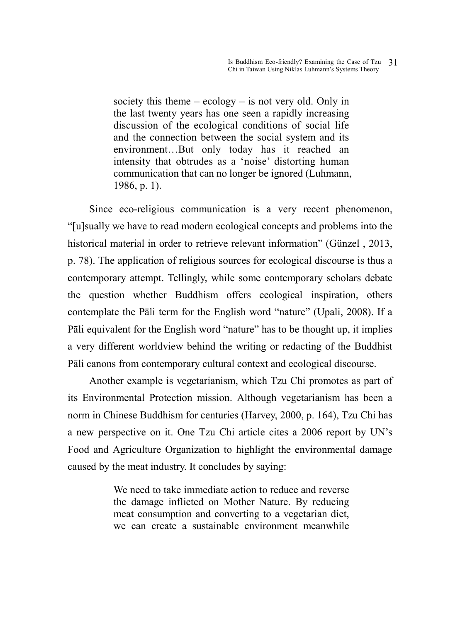society this theme  $-$  ecology  $-$  is not very old. Only in the last twenty years has one seen a rapidly increasing discussion of the ecological conditions of social life and the connection between the social system and its environment…But only today has it reached an intensity that obtrudes as a 'noise' distorting human communication that can no longer be ignored (Luhmann, 1986, p. 1).

 Since eco-religious communication is a very recent phenomenon, "[u]sually we have to read modern ecological concepts and problems into the historical material in order to retrieve relevant information" (Günzel , 2013, p. 78). The application of religious sources for ecological discourse is thus a contemporary attempt. Tellingly, while some contemporary scholars debate the question whether Buddhism offers ecological inspiration, others contemplate the Pāli term for the English word "nature" (Upali, 2008). If a Pāli equivalent for the English word "nature" has to be thought up, it implies a very different worldview behind the writing or redacting of the Buddhist Pāli canons from contemporary cultural context and ecological discourse.

 Another example is vegetarianism, which Tzu Chi promotes as part of its Environmental Protection mission. Although vegetarianism has been a norm in Chinese Buddhism for centuries (Harvey, 2000, p. 164), Tzu Chi has a new perspective on it. One Tzu Chi article cites a 2006 report by UN's Food and Agriculture Organization to highlight the environmental damage caused by the meat industry. It concludes by saying:

> We need to take immediate action to reduce and reverse the damage inflicted on Mother Nature. By reducing meat consumption and converting to a vegetarian diet, we can create a sustainable environment meanwhile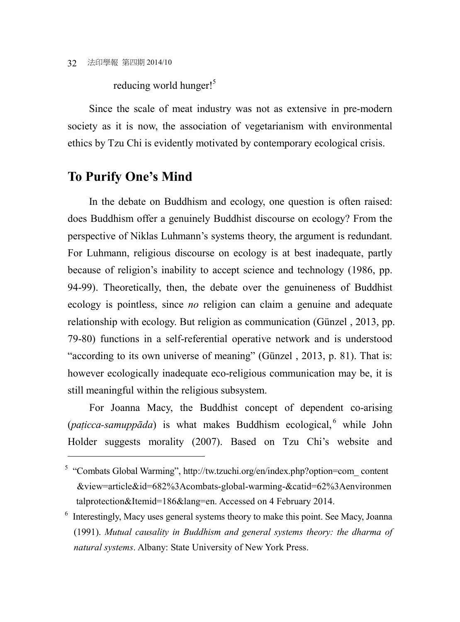reducing world hunger!<sup>5</sup>

Since the scale of meat industry was not as extensive in pre-modern society as it is now, the association of vegetarianism with environmental ethics by Tzu Chi is evidently motivated by contemporary ecological crisis.

#### **To Purify One's Mind**

 $\overline{a}$ 

In the debate on Buddhism and ecology, one question is often raised: does Buddhism offer a genuinely Buddhist discourse on ecology? From the perspective of Niklas Luhmann's systems theory, the argument is redundant. For Luhmann, religious discourse on ecology is at best inadequate, partly because of religion's inability to accept science and technology (1986, pp. 94-99). Theoretically, then, the debate over the genuineness of Buddhist ecology is pointless, since *no* religion can claim a genuine and adequate relationship with ecology. But religion as communication (Günzel , 2013, pp. 79-80) functions in a self-referential operative network and is understood "according to its own universe of meaning" (Günzel , 2013, p. 81). That is: however ecologically inadequate eco-religious communication may be, it is still meaningful within the religious subsystem.

 For Joanna Macy, the Buddhist concept of dependent co-arising (paticca-samuppāda) is what makes Buddhism ecological, while John Holder suggests morality (2007). Based on Tzu Chi's website and

<sup>&</sup>lt;sup>5</sup> "Combats Global Warming", http://tw.tzuchi.org/en/index.php?option=com\_content &view=article&id=682%3Acombats-global-warming-&catid=62%3Aenvironmen talprotection&Itemid=186&lang=en. Accessed on 4 February 2014.

<sup>&</sup>lt;sup>6</sup> Interestingly, Macy uses general systems theory to make this point. See Macy, Joanna (1991). *Mutual causality in Buddhism and general systems theory: the dharma of natural systems*. Albany: State University of New York Press.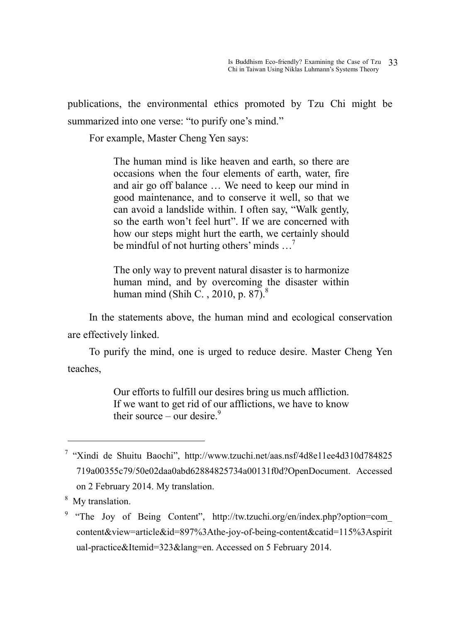publications, the environmental ethics promoted by Tzu Chi might be summarized into one verse: "to purify one's mind."

For example, Master Cheng Yen says:

The human mind is like heaven and earth, so there are occasions when the four elements of earth, water, fire and air go off balance … We need to keep our mind in good maintenance, and to conserve it well, so that we can avoid a landslide within. I often say, "Walk gently, so the earth won't feel hurt". If we are concerned with how our steps might hurt the earth, we certainly should be mindful of not hurting others' minds  $\ldots$ <sup>7</sup>

The only way to prevent natural disaster is to harmonize human mind, and by overcoming the disaster within human mind (Shih C., 2010, p. 87). $8^{\circ}$ 

In the statements above, the human mind and ecological conservation are effectively linked.

To purify the mind, one is urged to reduce desire. Master Cheng Yen teaches,

> Our efforts to fulfill our desires bring us much affliction. If we want to get rid of our afflictions, we have to know their source – our desire.<sup>9</sup>

<sup>&</sup>lt;sup>7</sup> "Xindi de Shuitu Baochi", http://www.tzuchi.net/aas.nsf/4d8e11ee4d310d784825 719a00355c79/50e02daa0abd62884825734a00131f0d?OpenDocument. Accessed on 2 February 2014. My translation.

<sup>&</sup>lt;sup>8</sup> My translation.

<sup>&</sup>lt;sup>9</sup> "The Joy of Being Content", http://tw.tzuchi.org/en/index.php?option=com\_ content&view=article&id=897%3Athe-joy-of-being-content&catid=115%3Aspirit ual-practice&Itemid=323&lang=en. Accessed on 5 February 2014.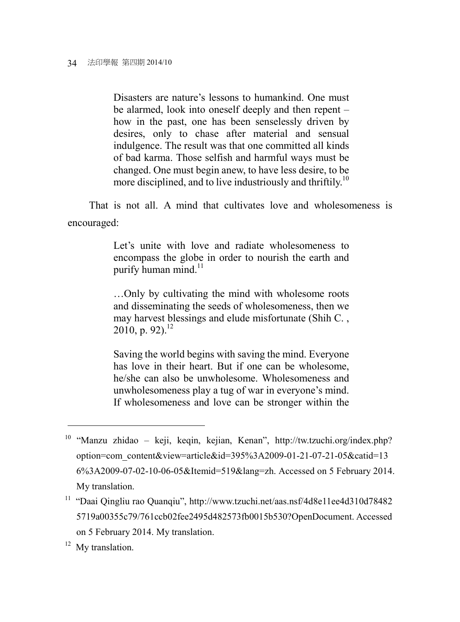Disasters are nature's lessons to humankind. One must be alarmed, look into oneself deeply and then repent – how in the past, one has been senselessly driven by desires, only to chase after material and sensual indulgence. The result was that one committed all kinds of bad karma. Those selfish and harmful ways must be changed. One must begin anew, to have less desire, to be more disciplined, and to live industriously and thriftily.<sup>10</sup>

That is not all. A mind that cultivates love and wholesomeness is encouraged:

> Let's unite with love and radiate wholesomeness to encompass the globe in order to nourish the earth and purify human mind.<sup>11</sup>

> …Only by cultivating the mind with wholesome roots and disseminating the seeds of wholesomeness, then we may harvest blessings and elude misfortunate (Shih C. ,  $2010$ , p. 92).<sup>12</sup>

> Saving the world begins with saving the mind. Everyone has love in their heart. But if one can be wholesome, he/she can also be unwholesome. Wholesomeness and unwholesomeness play a tug of war in everyone's mind. If wholesomeness and love can be stronger within the

<sup>12</sup> My translation.

<sup>10</sup> "Manzu zhidao – keji, keqin, kejian, Kenan", http://tw.tzuchi.org/index.php? option=com\_content&view=article&id=395%3A2009-01-21-07-21-05&catid=13 6%3A2009-07-02-10-06-05&Itemid=519&lang=zh. Accessed on 5 February 2014. My translation.

<sup>&</sup>lt;sup>11</sup> "Daai Qingliu rao Quanqiu", http://www.tzuchi.net/aas.nsf/4d8e11ee4d310d78482 5719a00355c79/761ccb02fee2495d482573fb0015b530?OpenDocument. Accessed on 5 February 2014. My translation.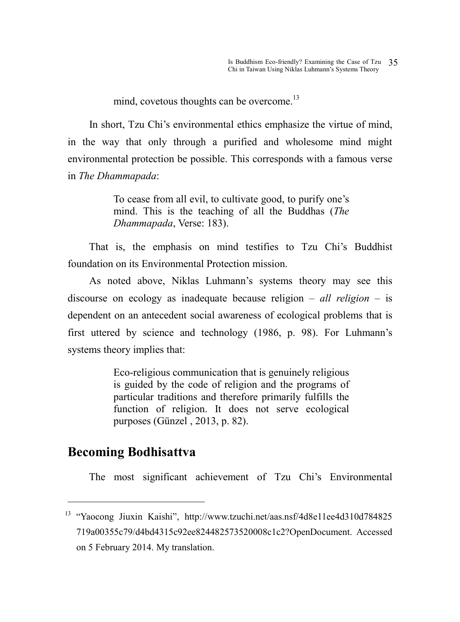mind, covetous thoughts can be overcome.<sup>13</sup>

 In short, Tzu Chi's environmental ethics emphasize the virtue of mind, in the way that only through a purified and wholesome mind might environmental protection be possible. This corresponds with a famous verse in *The Dhammapada*:

> To cease from all evil, to cultivate good, to purify one's mind. This is the teaching of all the Buddhas (*The Dhammapada*, Verse: 183).

That is, the emphasis on mind testifies to Tzu Chi's Buddhist foundation on its Environmental Protection mission.

 As noted above, Niklas Luhmann's systems theory may see this discourse on ecology as inadequate because religion – *all religion* – is dependent on an antecedent social awareness of ecological problems that is first uttered by science and technology (1986, p. 98). For Luhmann's systems theory implies that:

> Eco-religious communication that is genuinely religious is guided by the code of religion and the programs of particular traditions and therefore primarily fulfills the function of religion. It does not serve ecological purposes (Günzel , 2013, p. 82).

#### **Becoming Bodhisattva**

 $\overline{a}$ 

The most significant achievement of Tzu Chi's Environmental

<sup>&</sup>lt;sup>13</sup> "Yaocong Jiuxin Kaishi", http://www.tzuchi.net/aas.nsf/4d8e11ee4d310d784825 719a00355c79/d4bd4315c92ee824482573520008c1c2?OpenDocument. Accessed on 5 February 2014. My translation.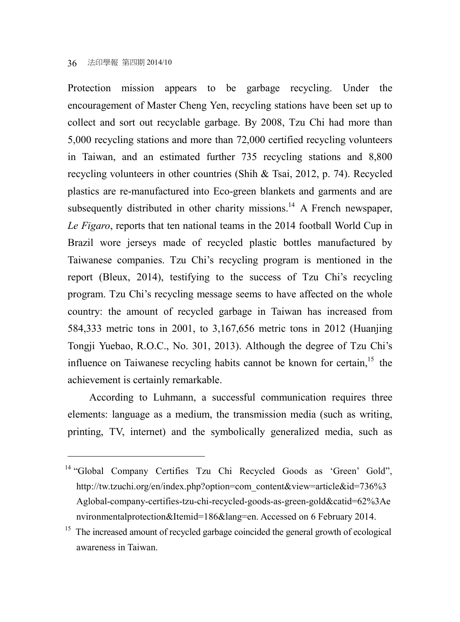$\overline{a}$ 

Protection mission appears to be garbage recycling. Under the encouragement of Master Cheng Yen, recycling stations have been set up to collect and sort out recyclable garbage. By 2008, Tzu Chi had more than 5,000 recycling stations and more than 72,000 certified recycling volunteers in Taiwan, and an estimated further 735 recycling stations and 8,800 recycling volunteers in other countries (Shih & Tsai, 2012, p. 74). Recycled plastics are re-manufactured into Eco-green blankets and garments and are subsequently distributed in other charity missions.<sup>14</sup> A French newspaper, *Le Figaro*, reports that ten national teams in the 2014 football World Cup in Brazil wore jerseys made of recycled plastic bottles manufactured by Taiwanese companies. Tzu Chi's recycling program is mentioned in the report (Bleux, 2014), testifying to the success of Tzu Chi's recycling program. Tzu Chi's recycling message seems to have affected on the whole country: the amount of recycled garbage in Taiwan has increased from 584,333 metric tons in 2001, to 3,167,656 metric tons in 2012 (Huanjing Tongji Yuebao, R.O.C., No. 301, 2013). Although the degree of Tzu Chi's influence on Taiwanese recycling habits cannot be known for certain, $15$  the achievement is certainly remarkable.

 According to Luhmann, a successful communication requires three elements: language as a medium, the transmission media (such as writing, printing, TV, internet) and the symbolically generalized media, such as

<sup>&</sup>lt;sup>14</sup> "Global Company Certifies Tzu Chi Recycled Goods as 'Green' Gold", http://tw.tzuchi.org/en/index.php?option=com\_content&view=article&id=736%3 Aglobal-company-certifies-tzu-chi-recycled-goods-as-green-gold&catid=62%3Ae nvironmentalprotection&Itemid=186&lang=en. Accessed on 6 February 2014.

<sup>&</sup>lt;sup>15</sup> The increased amount of recycled garbage coincided the general growth of ecological awareness in Taiwan.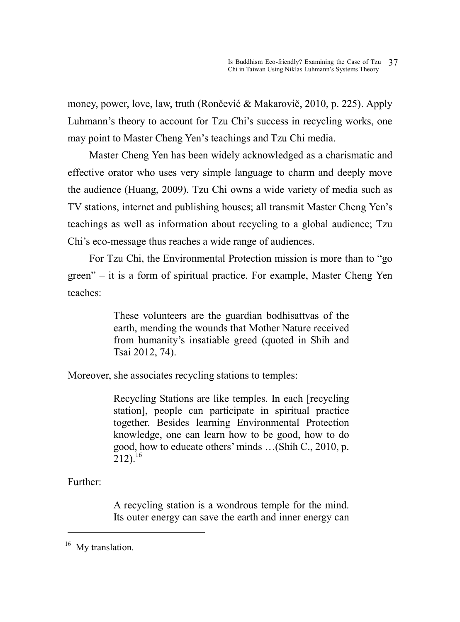money, power, love, law, truth (Rončević & Makarovič, 2010, p. 225). Apply Luhmann's theory to account for Tzu Chi's success in recycling works, one may point to Master Cheng Yen's teachings and Tzu Chi media.

 Master Cheng Yen has been widely acknowledged as a charismatic and effective orator who uses very simple language to charm and deeply move the audience (Huang, 2009). Tzu Chi owns a wide variety of media such as TV stations, internet and publishing houses; all transmit Master Cheng Yen's teachings as well as information about recycling to a global audience; Tzu Chi's eco-message thus reaches a wide range of audiences.

 For Tzu Chi, the Environmental Protection mission is more than to "go green" – it is a form of spiritual practice. For example, Master Cheng Yen teaches:

> These volunteers are the guardian bodhisattvas of the earth, mending the wounds that Mother Nature received from humanity's insatiable greed (quoted in Shih and Tsai 2012, 74).

Moreover, she associates recycling stations to temples:

Recycling Stations are like temples. In each [recycling station], people can participate in spiritual practice together. Besides learning Environmental Protection knowledge, one can learn how to be good, how to do good, how to educate others' minds …(Shih C., 2010, p.  $212$ ).<sup>16</sup>

Further:

 $\overline{a}$ 

A recycling station is a wondrous temple for the mind. Its outer energy can save the earth and inner energy can

 $16$  My translation.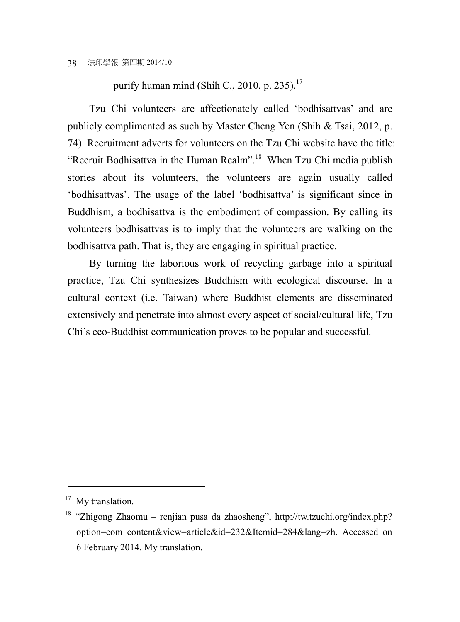#### purify human mind (Shih C., 2010, p. 235). $^{17}$

 Tzu Chi volunteers are affectionately called 'bodhisattvas' and are publicly complimented as such by Master Cheng Yen (Shih & Tsai, 2012, p. 74). Recruitment adverts for volunteers on the Tzu Chi website have the title: "Recruit Bodhisattva in the Human Realm".<sup>18</sup> When Tzu Chi media publish stories about its volunteers, the volunteers are again usually called 'bodhisattvas'. The usage of the label 'bodhisattva' is significant since in Buddhism, a bodhisattva is the embodiment of compassion. By calling its volunteers bodhisattvas is to imply that the volunteers are walking on the bodhisattva path. That is, they are engaging in spiritual practice.

 By turning the laborious work of recycling garbage into a spiritual practice, Tzu Chi synthesizes Buddhism with ecological discourse. In a cultural context (i.e. Taiwan) where Buddhist elements are disseminated extensively and penetrate into almost every aspect of social/cultural life, Tzu Chi's eco-Buddhist communication proves to be popular and successful.

 $17$  My translation.

<sup>18</sup> "Zhigong Zhaomu – renjian pusa da zhaosheng", http://tw.tzuchi.org/index.php? option=com\_content&view=article&id=232&Itemid=284&lang=zh. Accessed on 6 February 2014. My translation.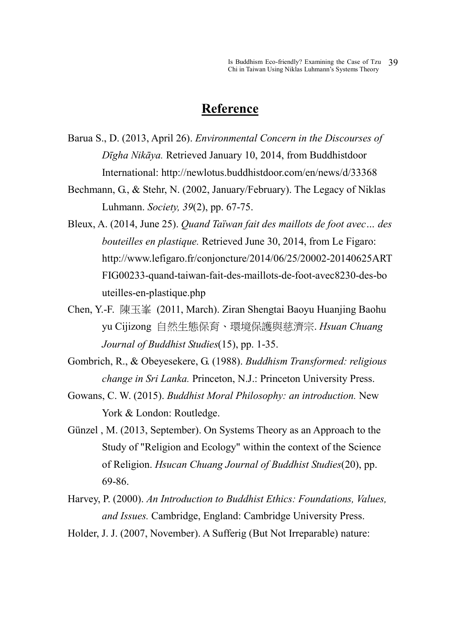#### **Reference**

- Barua S., D. (2013, April 26). *Environmental Concern in the Discourses of Dīgha Nikāya.* Retrieved January 10, 2014, from Buddhistdoor International: http://newlotus.buddhistdoor.com/en/news/d/33368
- Bechmann, G., & Stehr, N. (2002, January/February). The Legacy of Niklas Luhmann. *Society, 39*(2), pp. 67-75.
- Bleux, A. (2014, June 25). *Quand Taïwan fait des maillots de foot avec… des bouteilles en plastique.* Retrieved June 30, 2014, from Le Figaro: http://www.lefigaro.fr/conjoncture/2014/06/25/20002-20140625ART FIG00233-quand-taiwan-fait-des-maillots-de-foot-avec8230-des-bo uteilles-en-plastique.php
- Chen, Y.-F. 陳玉峯 (2011, March). Ziran Shengtai Baoyu Huanjing Baohu yu Cijizong 自然生態保育、環境保護與慈濟宗. *Hsuan Chuang Journal of Buddhist Studies*(15), pp. 1-35.
- Gombrich, R., & Obeyesekere, G. (1988). *Buddhism Transformed: religious change in Sri Lanka.* Princeton, N.J.: Princeton University Press.
- Gowans, C. W. (2015). *Buddhist Moral Philosophy: an introduction.* New York & London: Routledge.
- Günzel , M. (2013, September). On Systems Theory as an Approach to the Study of "Religion and Ecology" within the context of the Science of Religion. *Hsucan Chuang Journal of Buddhist Studies*(20), pp. 69-86.
- Harvey, P. (2000). *An Introduction to Buddhist Ethics: Foundations, Values, and Issues.* Cambridge, England: Cambridge University Press.
- Holder, J. J. (2007, November). A Sufferig (But Not Irreparable) nature: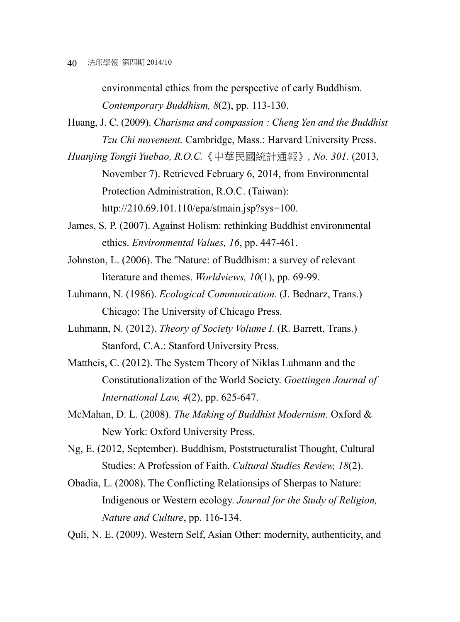environmental ethics from the perspective of early Buddhism. *Contemporary Buddhism, 8*(2), pp. 113-130.

Huang, J. C. (2009). *Charisma and compassion : Cheng Yen and the Buddhist Tzu Chi movement.* Cambridge, Mass.: Harvard University Press.

*Huanjing Tongji Yuebao, R.O.C.*《中華民國統計通報》*, No. 301.* (2013, November 7). Retrieved February 6, 2014, from Environmental Protection Administration, R.O.C. (Taiwan): http://210.69.101.110/epa/stmain.jsp?sys=100.

James, S. P. (2007). Against Holism: rethinking Buddhist environmental ethics. *Environmental Values, 16*, pp. 447-461.

- Johnston, L. (2006). The "Nature: of Buddhism: a survey of relevant literature and themes. *Worldviews, 10*(1), pp. 69-99.
- Luhmann, N. (1986). *Ecological Communication.* (J. Bednarz, Trans.) Chicago: The University of Chicago Press.
- Luhmann, N. (2012). *Theory of Society Volume I.* (R. Barrett, Trans.) Stanford, C.A.: Stanford University Press.
- Mattheis, C. (2012). The System Theory of Niklas Luhmann and the Constitutionalization of the World Society. *Goettingen Journal of International Law, 4*(2), pp. 625-647.
- McMahan, D. L. (2008). *The Making of Buddhist Modernism.* Oxford & New York: Oxford University Press.
- Ng, E. (2012, September). Buddhism, Poststructuralist Thought, Cultural Studies: A Profession of Faith. *Cultural Studies Review, 18*(2).
- Obadia, L. (2008). The Conflicting Relationsips of Sherpas to Nature: Indigenous or Western ecology. *Journal for the Study of Religion, Nature and Culture*, pp. 116-134.

Quli, N. E. (2009). Western Self, Asian Other: modernity, authenticity, and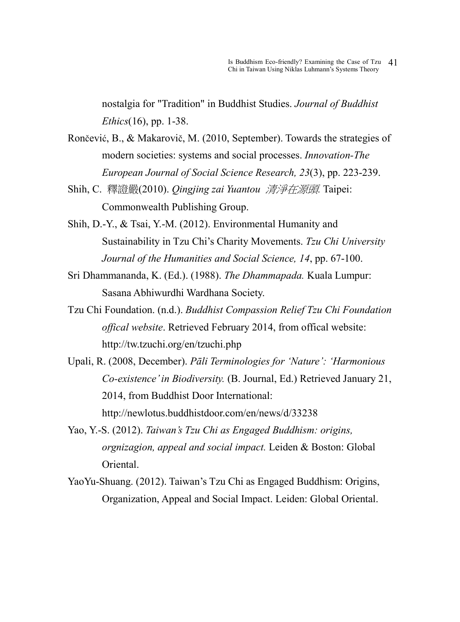nostalgia for "Tradition" in Buddhist Studies. *Journal of Buddhist Ethics*(16), pp. 1-38.

- Rončević, B., & Makarovič, M. (2010, September). Towards the strategies of modern societies: systems and social processes. *Innovation-The European Journal of Social Science Research, 23*(3), pp. 223-239.
- Shih, C. 釋證嚴(2010). *Qingjing zai Yuantou* 清淨在源頭*.* Taipei: Commonwealth Publishing Group.
- Shih, D.-Y., & Tsai, Y.-M. (2012). Environmental Humanity and Sustainability in Tzu Chi's Charity Movements. *Tzu Chi University Journal of the Humanities and Social Science, 14*, pp. 67-100.
- Sri Dhammananda, K. (Ed.). (1988). *The Dhammapada.* Kuala Lumpur: Sasana Abhiwurdhi Wardhana Society.
- Tzu Chi Foundation. (n.d.). *Buddhist Compassion Relief Tzu Chi Foundation offical website*. Retrieved February 2014, from offical website: http://tw.tzuchi.org/en/tzuchi.php
- Upali, R. (2008, December). *Pāli Terminologies for 'Nature': 'Harmonious Co-existence' in Biodiversity.* (B. Journal, Ed.) Retrieved January 21, 2014, from Buddhist Door International: http://newlotus.buddhistdoor.com/en/news/d/33238
- Yao, Y.-S. (2012). *Taiwan's Tzu Chi as Engaged Buddhism: origins, orgnizagion, appeal and social impact.* Leiden & Boston: Global Oriental.
- YaoYu-Shuang. (2012). Taiwan's Tzu Chi as Engaged Buddhism: Origins, Organization, Appeal and Social Impact. Leiden: Global Oriental.